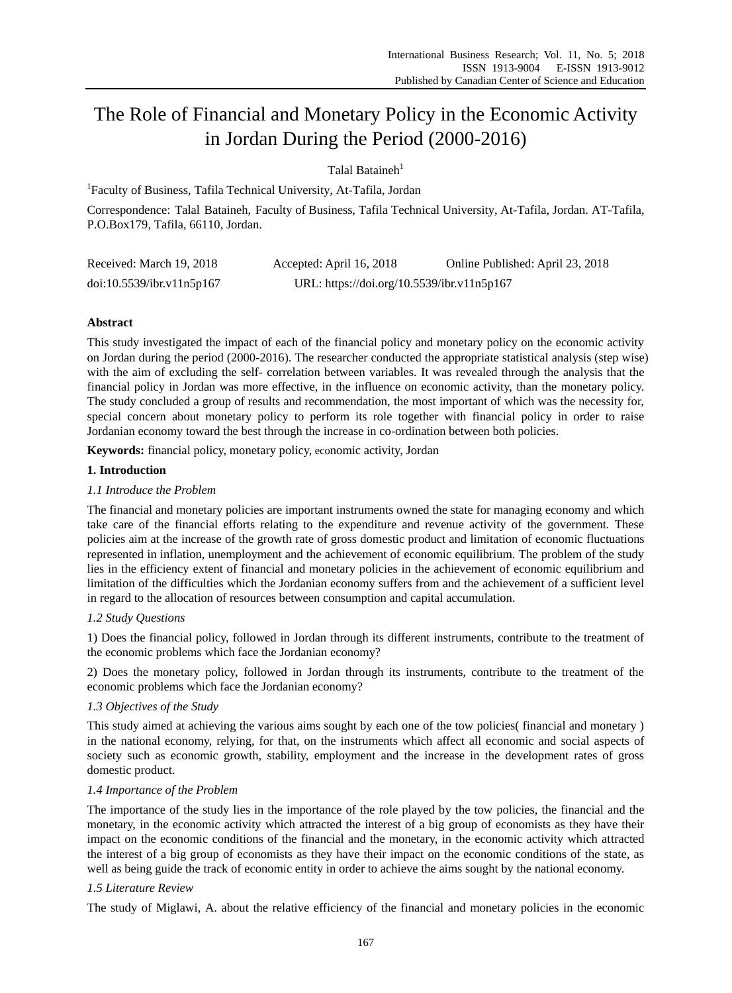# The Role of Financial and Monetary Policy in the Economic Activity in Jordan During the Period (2000-2016)

Talal Bataineh<sup>1</sup>

<sup>1</sup>Faculty of Business, Tafila Technical University, At-Tafila, Jordan

Correspondence: Talal Bataineh, Faculty of Business, Tafila Technical University, At-Tafila, Jordan. AT-Tafila, P.O.Box179, Tafila, 66110, Jordan.

| Received: March 19, 2018  | Accepted: April 16, 2018                   | Online Published: April 23, 2018 |
|---------------------------|--------------------------------------------|----------------------------------|
| doi:10.5539/ibr.v11n5p167 | URL: https://doi.org/10.5539/ibr.v11n5p167 |                                  |

# **Abstract**

This study investigated the impact of each of the financial policy and monetary policy on the economic activity on Jordan during the period (2000-2016). The researcher conducted the appropriate statistical analysis (step wise) with the aim of excluding the self- correlation between variables. It was revealed through the analysis that the financial policy in Jordan was more effective, in the influence on economic activity, than the monetary policy. The study concluded a group of results and recommendation, the most important of which was the necessity for, special concern about monetary policy to perform its role together with financial policy in order to raise Jordanian economy toward the best through the increase in co-ordination between both policies.

**Keywords:** financial policy, monetary policy, economic activity, Jordan

# **1. Introduction**

# *1.1 Introduce the Problem*

The financial and monetary policies are important instruments owned the state for managing economy and which take care of the financial efforts relating to the expenditure and revenue activity of the government. These policies aim at the increase of the growth rate of gross domestic product and limitation of economic fluctuations represented in inflation, unemployment and the achievement of economic equilibrium. The problem of the study lies in the efficiency extent of financial and monetary policies in the achievement of economic equilibrium and limitation of the difficulties which the Jordanian economy suffers from and the achievement of a sufficient level in regard to the allocation of resources between consumption and capital accumulation.

# *1.2 Study Questions*

1) Does the financial policy, followed in Jordan through its different instruments, contribute to the treatment of the economic problems which face the Jordanian economy?

2) Does the monetary policy, followed in Jordan through its instruments, contribute to the treatment of the economic problems which face the Jordanian economy?

# *1.3 Objectives of the Study*

This study aimed at achieving the various aims sought by each one of the tow policies( financial and monetary ) in the national economy, relying, for that, on the instruments which affect all economic and social aspects of society such as economic growth, stability, employment and the increase in the development rates of gross domestic product.

# *1.4 Importance of the Problem*

The importance of the study lies in the importance of the role played by the tow policies, the financial and the monetary, in the economic activity which attracted the interest of a big group of economists as they have their impact on the economic conditions of the financial and the monetary, in the economic activity which attracted the interest of a big group of economists as they have their impact on the economic conditions of the state, as well as being guide the track of economic entity in order to achieve the aims sought by the national economy.

# *1.5 Literature Review*

The study of Miglawi, A. about the relative efficiency of the financial and monetary policies in the economic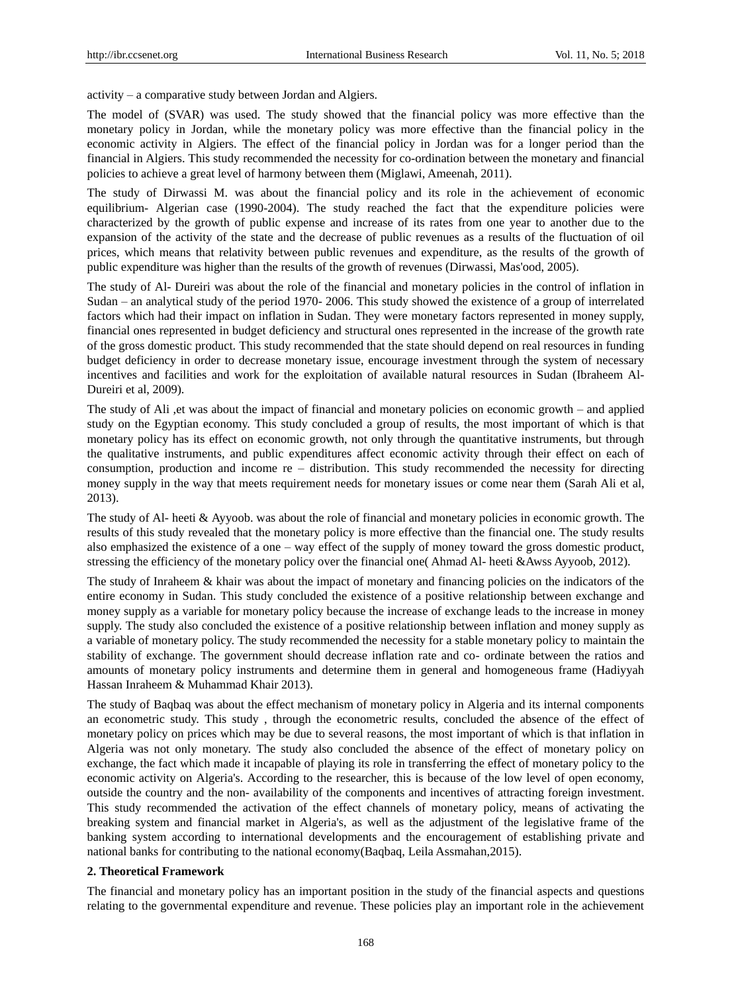activity – a comparative study between Jordan and Algiers.

The model of (SVAR) was used. The study showed that the financial policy was more effective than the monetary policy in Jordan, while the monetary policy was more effective than the financial policy in the economic activity in Algiers. The effect of the financial policy in Jordan was for a longer period than the financial in Algiers. This study recommended the necessity for co-ordination between the monetary and financial policies to achieve a great level of harmony between them (Miglawi, Ameenah, 2011).

The study of Dirwassi M. was about the financial policy and its role in the achievement of economic equilibrium- Algerian case (1990-2004). The study reached the fact that the expenditure policies were characterized by the growth of public expense and increase of its rates from one year to another due to the expansion of the activity of the state and the decrease of public revenues as a results of the fluctuation of oil prices, which means that relativity between public revenues and expenditure, as the results of the growth of public expenditure was higher than the results of the growth of revenues (Dirwassi, Mas'ood, 2005).

The study of Al- Dureiri was about the role of the financial and monetary policies in the control of inflation in Sudan – an analytical study of the period 1970- 2006. This study showed the existence of a group of interrelated factors which had their impact on inflation in Sudan. They were monetary factors represented in money supply, financial ones represented in budget deficiency and structural ones represented in the increase of the growth rate of the gross domestic product. This study recommended that the state should depend on real resources in funding budget deficiency in order to decrease monetary issue, encourage investment through the system of necessary incentives and facilities and work for the exploitation of available natural resources in Sudan (Ibraheem Al-Dureiri et al, 2009).

The study of Ali ,et was about the impact of financial and monetary policies on economic growth – and applied study on the Egyptian economy. This study concluded a group of results, the most important of which is that monetary policy has its effect on economic growth, not only through the quantitative instruments, but through the qualitative instruments, and public expenditures affect economic activity through their effect on each of consumption, production and income re – distribution. This study recommended the necessity for directing money supply in the way that meets requirement needs for monetary issues or come near them (Sarah Ali et al, 2013).

The study of Al- heeti & Ayyoob. was about the role of financial and monetary policies in economic growth. The results of this study revealed that the monetary policy is more effective than the financial one. The study results also emphasized the existence of a one – way effect of the supply of money toward the gross domestic product, stressing the efficiency of the monetary policy over the financial one( Ahmad Al- heeti &Awss Ayyoob, 2012).

The study of Inraheem & khair was about the impact of monetary and financing policies on the indicators of the entire economy in Sudan. This study concluded the existence of a positive relationship between exchange and money supply as a variable for monetary policy because the increase of exchange leads to the increase in money supply. The study also concluded the existence of a positive relationship between inflation and money supply as a variable of monetary policy. The study recommended the necessity for a stable monetary policy to maintain the stability of exchange. The government should decrease inflation rate and co- ordinate between the ratios and amounts of monetary policy instruments and determine them in general and homogeneous frame (Hadiyyah Hassan Inraheem & Muhammad Khair 2013).

The study of Baqbaq was about the effect mechanism of monetary policy in Algeria and its internal components an econometric study. This study , through the econometric results, concluded the absence of the effect of monetary policy on prices which may be due to several reasons, the most important of which is that inflation in Algeria was not only monetary. The study also concluded the absence of the effect of monetary policy on exchange, the fact which made it incapable of playing its role in transferring the effect of monetary policy to the economic activity on Algeria's. According to the researcher, this is because of the low level of open economy, outside the country and the non- availability of the components and incentives of attracting foreign investment. This study recommended the activation of the effect channels of monetary policy, means of activating the breaking system and financial market in Algeria's, as well as the adjustment of the legislative frame of the banking system according to international developments and the encouragement of establishing private and national banks for contributing to the national economy(Baqbaq, Leila Assmahan,2015).

#### **2. Theoretical Framework**

The financial and monetary policy has an important position in the study of the financial aspects and questions relating to the governmental expenditure and revenue. These policies play an important role in the achievement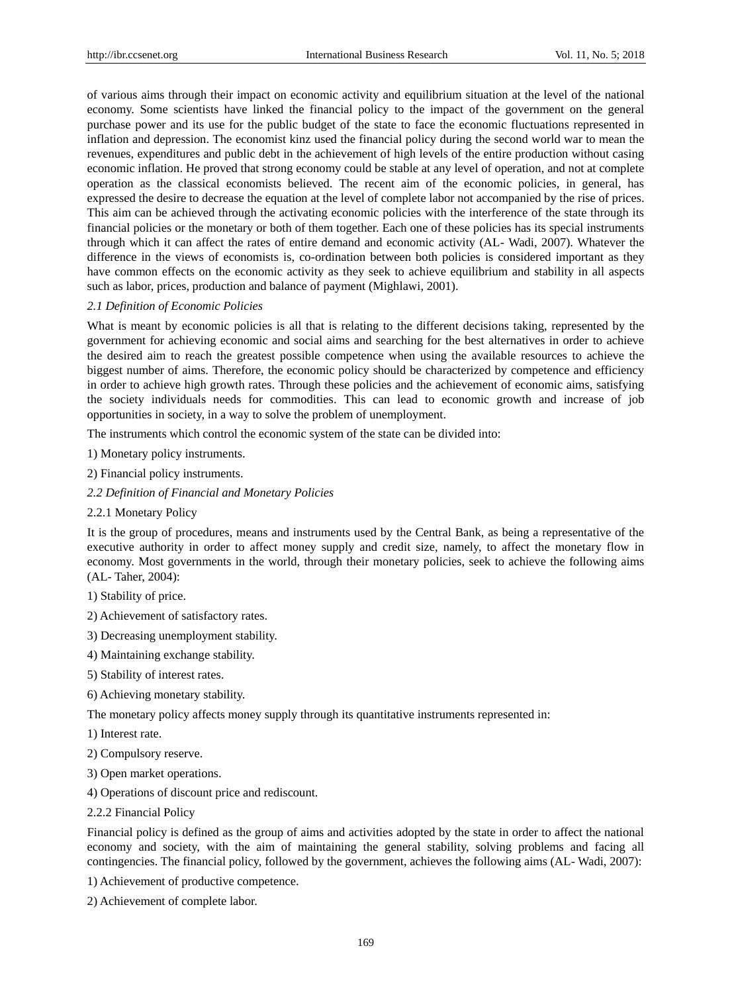of various aims through their impact on economic activity and equilibrium situation at the level of the national economy. Some scientists have linked the financial policy to the impact of the government on the general purchase power and its use for the public budget of the state to face the economic fluctuations represented in inflation and depression. The economist kinz used the financial policy during the second world war to mean the revenues, expenditures and public debt in the achievement of high levels of the entire production without casing economic inflation. He proved that strong economy could be stable at any level of operation, and not at complete operation as the classical economists believed. The recent aim of the economic policies, in general, has expressed the desire to decrease the equation at the level of complete labor not accompanied by the rise of prices. This aim can be achieved through the activating economic policies with the interference of the state through its financial policies or the monetary or both of them together. Each one of these policies has its special instruments through which it can affect the rates of entire demand and economic activity (AL- Wadi, 2007). Whatever the difference in the views of economists is, co-ordination between both policies is considered important as they have common effects on the economic activity as they seek to achieve equilibrium and stability in all aspects such as labor, prices, production and balance of payment (Mighlawi, 2001).

#### *2.1 Definition of Economic Policies*

What is meant by economic policies is all that is relating to the different decisions taking, represented by the government for achieving economic and social aims and searching for the best alternatives in order to achieve the desired aim to reach the greatest possible competence when using the available resources to achieve the biggest number of aims. Therefore, the economic policy should be characterized by competence and efficiency in order to achieve high growth rates. Through these policies and the achievement of economic aims, satisfying the society individuals needs for commodities. This can lead to economic growth and increase of job opportunities in society, in a way to solve the problem of unemployment.

The instruments which control the economic system of the state can be divided into:

- 1) Monetary policy instruments.
- 2) Financial policy instruments.
- *2.2 Definition of Financial and Monetary Policies*
- 2.2.1 Monetary Policy

It is the group of procedures, means and instruments used by the Central Bank, as being a representative of the executive authority in order to affect money supply and credit size, namely, to affect the monetary flow in economy. Most governments in the world, through their monetary policies, seek to achieve the following aims (AL- Taher, 2004):

- 1) Stability of price.
- 2) Achievement of satisfactory rates.
- 3) Decreasing unemployment stability.
- 4) Maintaining exchange stability.
- 5) Stability of interest rates.
- 6) Achieving monetary stability.

The monetary policy affects money supply through its quantitative instruments represented in:

1) Interest rate.

2) Compulsory reserve.

- 3) Open market operations.
- 4) Operations of discount price and rediscount.
- 2.2.2 Financial Policy

Financial policy is defined as the group of aims and activities adopted by the state in order to affect the national economy and society, with the aim of maintaining the general stability, solving problems and facing all contingencies. The financial policy, followed by the government, achieves the following aims (AL- Wadi, 2007):

1) Achievement of productive competence.

2) Achievement of complete labor.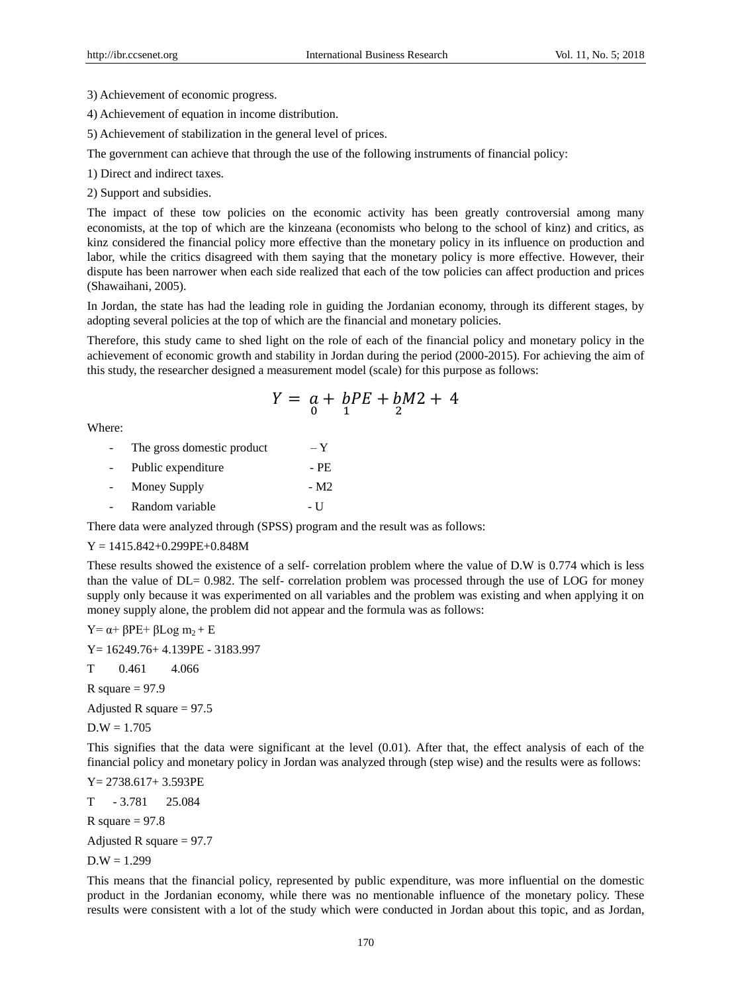3) Achievement of economic progress.

4) Achievement of equation in income distribution.

5) Achievement of stabilization in the general level of prices.

The government can achieve that through the use of the following instruments of financial policy:

1) Direct and indirect taxes.

2) Support and subsidies.

The impact of these tow policies on the economic activity has been greatly controversial among many economists, at the top of which are the kinzeana (economists who belong to the school of kinz) and critics, as kinz considered the financial policy more effective than the monetary policy in its influence on production and labor, while the critics disagreed with them saying that the monetary policy is more effective. However, their dispute has been narrower when each side realized that each of the tow policies can affect production and prices (Shawaihani, 2005).

In Jordan, the state has had the leading role in guiding the Jordanian economy, through its different stages, by adopting several policies at the top of which are the financial and monetary policies.

Therefore, this study came to shed light on the role of each of the financial policy and monetary policy in the achievement of economic growth and stability in Jordan during the period (2000-2015). For achieving the aim of this study, the researcher designed a measurement model (scale) for this purpose as follows:

$$
Y = a + bPE + bM2 + 4
$$

Where:

| The gross domestic product | $- Y$            |
|----------------------------|------------------|
| Public expenditure         | - PE             |
| Money Supply               | - M <sub>2</sub> |
| Random variable            | - U              |

There data were analyzed through (SPSS) program and the result was as follows:

#### $Y = 1415.842 + 0.299PE + 0.848M$

These results showed the existence of a self- correlation problem where the value of D.W is 0.774 which is less than the value of DL= 0.982. The self- correlation problem was processed through the use of LOG for money supply only because it was experimented on all variables and the problem was existing and when applying it on money supply alone, the problem did not appear and the formula was as follows:

 $Y = \alpha + \beta PE + \beta Log m_2 + E$ 

Y= 16249.76+ 4.139PE - 3183.997

T 0.461 4.066

R square  $= 97.9$ 

Adjusted R square  $= 97.5$ 

 $D.W = 1.705$ 

This signifies that the data were significant at the level (0.01). After that, the effect analysis of each of the financial policy and monetary policy in Jordan was analyzed through (step wise) and the results were as follows:

Y= 2738.617+ 3.593PE

T - 3.781 25.084

R square  $= 97.8$ 

Adjusted R square  $= 97.7$ 

 $D.W = 1.299$ 

This means that the financial policy, represented by public expenditure, was more influential on the domestic product in the Jordanian economy, while there was no mentionable influence of the monetary policy. These results were consistent with a lot of the study which were conducted in Jordan about this topic, and as Jordan,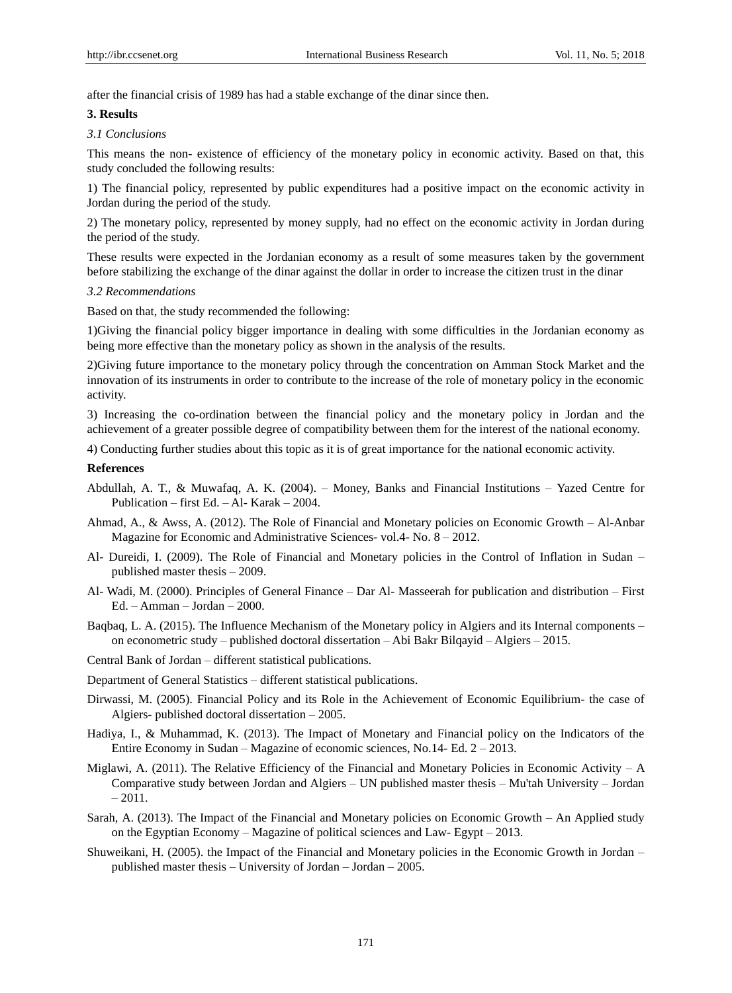after the financial crisis of 1989 has had a stable exchange of the dinar since then.

#### **3. Results**

# *3.1 Conclusions*

This means the non- existence of efficiency of the monetary policy in economic activity. Based on that, this study concluded the following results:

1) The financial policy, represented by public expenditures had a positive impact on the economic activity in Jordan during the period of the study.

2) The monetary policy, represented by money supply, had no effect on the economic activity in Jordan during the period of the study.

These results were expected in the Jordanian economy as a result of some measures taken by the government before stabilizing the exchange of the dinar against the dollar in order to increase the citizen trust in the dinar

#### *3.2 Recommendations*

Based on that, the study recommended the following:

1)Giving the financial policy bigger importance in dealing with some difficulties in the Jordanian economy as being more effective than the monetary policy as shown in the analysis of the results.

2)Giving future importance to the monetary policy through the concentration on Amman Stock Market and the innovation of its instruments in order to contribute to the increase of the role of monetary policy in the economic activity.

3) Increasing the co-ordination between the financial policy and the monetary policy in Jordan and the achievement of a greater possible degree of compatibility between them for the interest of the national economy.

4) Conducting further studies about this topic as it is of great importance for the national economic activity.

#### **References**

- Abdullah, A. T., & Muwafaq, A. K. (2004). Money, Banks and Financial Institutions Yazed Centre for Publication – first Ed. – Al- Karak – 2004.
- Ahmad, A., & Awss, A. (2012). The Role of Financial and Monetary policies on Economic Growth Al-Anbar Magazine for Economic and Administrative Sciences- vol.4- No. 8 – 2012.
- Al- Dureidi, I. (2009). The Role of Financial and Monetary policies in the Control of Inflation in Sudan published master thesis – 2009.
- Al- Wadi, M. (2000). Principles of General Finance Dar Al- Masseerah for publication and distribution First Ed. – Amman – Jordan – 2000.
- Baqbaq, L. A. (2015). The Influence Mechanism of the Monetary policy in Algiers and its Internal components on econometric study – published doctoral dissertation – Abi Bakr Bilqayid – Algiers – 2015.
- Central Bank of Jordan different statistical publications.

Department of General Statistics – different statistical publications.

- Dirwassi, M. (2005). Financial Policy and its Role in the Achievement of Economic Equilibrium- the case of Algiers- published doctoral dissertation – 2005.
- Hadiya, I., & Muhammad, K. (2013). The Impact of Monetary and Financial policy on the Indicators of the Entire Economy in Sudan – Magazine of economic sciences, No.14- Ed. 2 – 2013.
- Miglawi, A. (2011). The Relative Efficiency of the Financial and Monetary Policies in Economic Activity A Comparative study between Jordan and Algiers – UN published master thesis – Mu'tah University – Jordan  $-2011.$
- Sarah, A. (2013). The Impact of the Financial and Monetary policies on Economic Growth An Applied study on the Egyptian Economy – Magazine of political sciences and Law- Egypt – 2013.
- Shuweikani, H. (2005). the Impact of the Financial and Monetary policies in the Economic Growth in Jordan published master thesis – University of Jordan – Jordan – 2005.